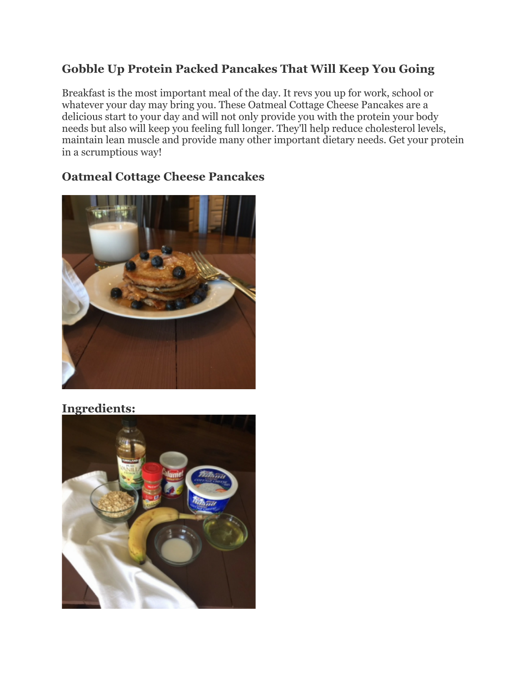## **Gobble Up Protein Packed Pancakes That Will Keep You Going**

Breakfast is the most important meal of the day. It revs you up for work, school or whatever your day may bring you. These Oatmeal Cottage Cheese Pancakes are a delicious start to your day and will not only provide you with the protein your body needs but also will keep you feeling full longer. They'll help reduce cholesterol levels, maintain lean muscle and provide many other important dietary needs. Get your protein in a scrumptious way!

## **Oatmeal Cottage Cheese Pancakes**



## **Ingredients:**

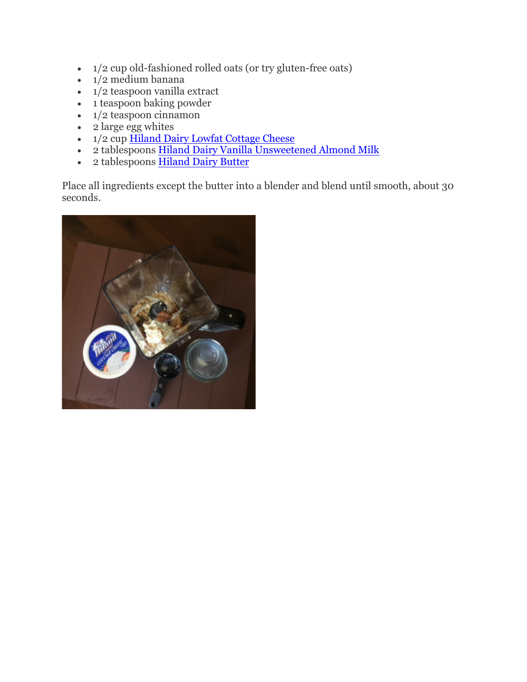- 1/2 cup old-fashioned rolled oats (or try gluten-free oats)
- $\cdot$  1/2 medium banana
- $\bullet$  1/2 teaspoon vanilla extract
- $\bullet$  1 teaspoon baking powder
- $\cdot$  1/2 teaspoon cinnamon
- $\bullet$  2 large egg whites
- $1/2$  cup  $\underline{\text{Hiland Dairy Lowfat Cottage Cheese}}$
- 2 tablespoons Hiland Dairy Vanilla Unsweetened Almond Milk
- 2 tablespoons Hiland Dairy Butter

Place all ingredients except the butter into a blender and blend until smooth, about 30 seconds.